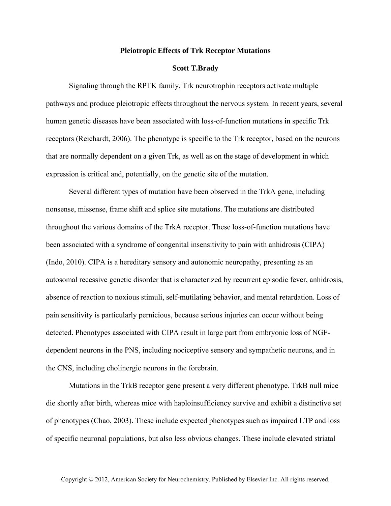## **Pleiotropic Effects of Trk Receptor Mutations**

## **Scott T.Brady**

Signaling through the RPTK family, Trk neurotrophin receptors activate multiple pathways and produce pleiotropic effects throughout the nervous system. In recent years, several human genetic diseases have been associated with loss-of-function mutations in specific Trk receptors (Reichardt, 2006). The phenotype is specific to the Trk receptor, based on the neurons that are normally dependent on a given Trk, as well as on the stage of development in which expression is critical and, potentially, on the genetic site of the mutation.

Several different types of mutation have been observed in the TrkA gene, including nonsense, missense, frame shift and splice site mutations. The mutations are distributed throughout the various domains of the TrkA receptor. These loss-of-function mutations have been associated with a syndrome of congenital insensitivity to pain with anhidrosis (CIPA) (Indo, 2010). CIPA is a hereditary sensory and autonomic neuropathy, presenting as an autosomal recessive genetic disorder that is characterized by recurrent episodic fever, anhidrosis, absence of reaction to noxious stimuli, self-mutilating behavior, and mental retardation. Loss of pain sensitivity is particularly pernicious, because serious injuries can occur without being detected. Phenotypes associated with CIPA result in large part from embryonic loss of NGFdependent neurons in the PNS, including nociceptive sensory and sympathetic neurons, and in the CNS, including cholinergic neurons in the forebrain.

Mutations in the TrkB receptor gene present a very different phenotype. TrkB null mice die shortly after birth, whereas mice with haploinsufficiency survive and exhibit a distinctive set of phenotypes (Chao, 2003). These include expected phenotypes such as impaired LTP and loss of specific neuronal populations, but also less obvious changes. These include elevated striatal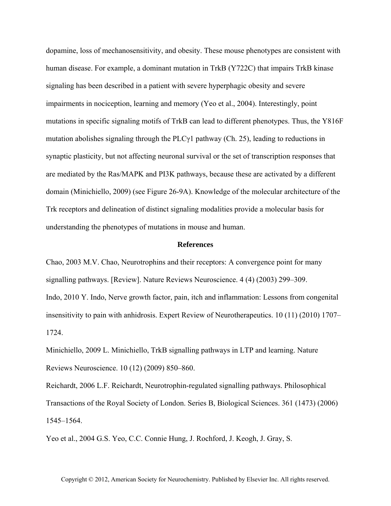dopamine, loss of mechanosensitivity, and obesity. These mouse phenotypes are consistent with human disease. For example, a dominant mutation in TrkB (Y722C) that impairs TrkB kinase signaling has been described in a patient with severe hyperphagic obesity and severe impairments in nociception, learning and memory (Yeo et al., 2004). Interestingly, point mutations in specific signaling motifs of TrkB can lead to different phenotypes. Thus, the Y816F mutation abolishes signaling through the PLC $\gamma$ 1 pathway (Ch. 25), leading to reductions in synaptic plasticity, but not affecting neuronal survival or the set of transcription responses that are mediated by the Ras/MAPK and PI3K pathways, because these are activated by a different domain (Minichiello, 2009) (see Figure 26-9A). Knowledge of the molecular architecture of the Trk receptors and delineation of distinct signaling modalities provide a molecular basis for understanding the phenotypes of mutations in mouse and human.

## **References**

Chao, 2003 M.V. Chao, Neurotrophins and their receptors: A convergence point for many signalling pathways. [Review]. Nature Reviews Neuroscience. 4 (4) (2003) 299–309. Indo, 2010 Y. Indo, Nerve growth factor, pain, itch and inflammation: Lessons from congenital insensitivity to pain with anhidrosis. Expert Review of Neurotherapeutics. 10 (11) (2010) 1707– 1724.

Minichiello, 2009 L. Minichiello, TrkB signalling pathways in LTP and learning. Nature Reviews Neuroscience. 10 (12) (2009) 850–860.

Reichardt, 2006 L.F. Reichardt, Neurotrophin-regulated signalling pathways. Philosophical Transactions of the Royal Society of London. Series B, Biological Sciences. 361 (1473) (2006) 1545–1564.

Yeo et al., 2004 G.S. Yeo, C.C. Connie Hung, J. Rochford, J. Keogh, J. Gray, S.